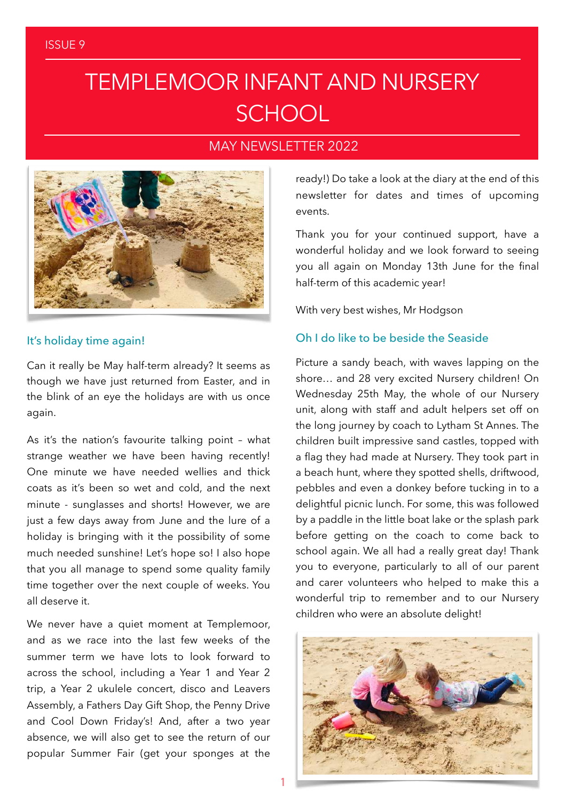# TEMPLEMOOR INFANT AND NURSERY **SCHOOL**

### MAY NEWSLETTER 2022



#### It's holiday time again!

Can it really be May half-term already? It seems as though we have just returned from Easter, and in the blink of an eye the holidays are with us once again.

As it's the nation's favourite talking point – what strange weather we have been having recently! One minute we have needed wellies and thick coats as it's been so wet and cold, and the next minute - sunglasses and shorts! However, we are just a few days away from June and the lure of a holiday is bringing with it the possibility of some much needed sunshine! Let's hope so! I also hope that you all manage to spend some quality family time together over the next couple of weeks. You all deserve it.

We never have a quiet moment at Templemoor, and as we race into the last few weeks of the summer term we have lots to look forward to across the school, including a Year 1 and Year 2 trip, a Year 2 ukulele concert, disco and Leavers Assembly, a Fathers Day Gift Shop, the Penny Drive and Cool Down Friday's! And, after a two year absence, we will also get to see the return of our popular Summer Fair (get your sponges at the

ready!) Do take a look at the diary at the end of this newsletter for dates and times of upcoming events.

Thank you for your continued support, have a wonderful holiday and we look forward to seeing you all again on Monday 13th June for the final half-term of this academic year!

With very best wishes, Mr Hodgson

### Oh I do like to be beside the Seaside

Picture a sandy beach, with waves lapping on the shore… and 28 very excited Nursery children! On Wednesday 25th May, the whole of our Nursery unit, along with staff and adult helpers set off on the long journey by coach to Lytham St Annes. The children built impressive sand castles, topped with a flag they had made at Nursery. They took part in a beach hunt, where they spotted shells, driftwood, pebbles and even a donkey before tucking in to a delightful picnic lunch. For some, this was followed by a paddle in the little boat lake or the splash park before getting on the coach to come back to school again. We all had a really great day! Thank you to everyone, particularly to all of our parent and carer volunteers who helped to make this a wonderful trip to remember and to our Nursery children who were an absolute delight!

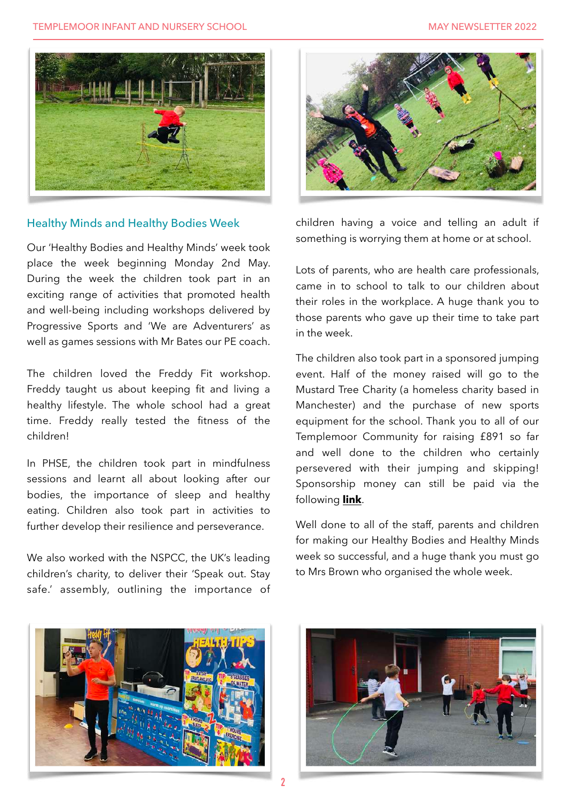

#### Healthy Minds and Healthy Bodies Week

Our 'Healthy Bodies and Healthy Minds' week took place the week beginning Monday 2nd May. During the week the children took part in an exciting range of activities that promoted health and well-being including workshops delivered by Progressive Sports and 'We are Adventurers' as well as games sessions with Mr Bates our PE coach.

The children loved the Freddy Fit workshop. Freddy taught us about keeping fit and living a healthy lifestyle. The whole school had a great time. Freddy really tested the fitness of the children!

In PHSE, the children took part in mindfulness sessions and learnt all about looking after our bodies, the importance of sleep and healthy eating. Children also took part in activities to further develop their resilience and perseverance.

We also worked with the NSPCC, the UK's leading children's charity, to deliver their 'Speak out. Stay safe.' assembly, outlining the importance of



children having a voice and telling an adult if something is worrying them at home or at school.

Lots of parents, who are health care professionals, came in to school to talk to our children about their roles in the workplace. A huge thank you to those parents who gave up their time to take part in the week.

The children also took part in a sponsored jumping event. Half of the money raised will go to the Mustard Tree Charity (a homeless charity based in Manchester) and the purchase of new sports equipment for the school. Thank you to all of our Templemoor Community for raising £891 so far and well done to the children who certainly persevered with their jumping and skipping! Sponsorship money can still be paid via the following **[link](https://www.crowdfunder.co.uk/p/sponsored-jump)**.

Well done to all of the staff, parents and children for making our Healthy Bodies and Healthy Minds week so successful, and a huge thank you must go to Mrs Brown who organised the whole week.



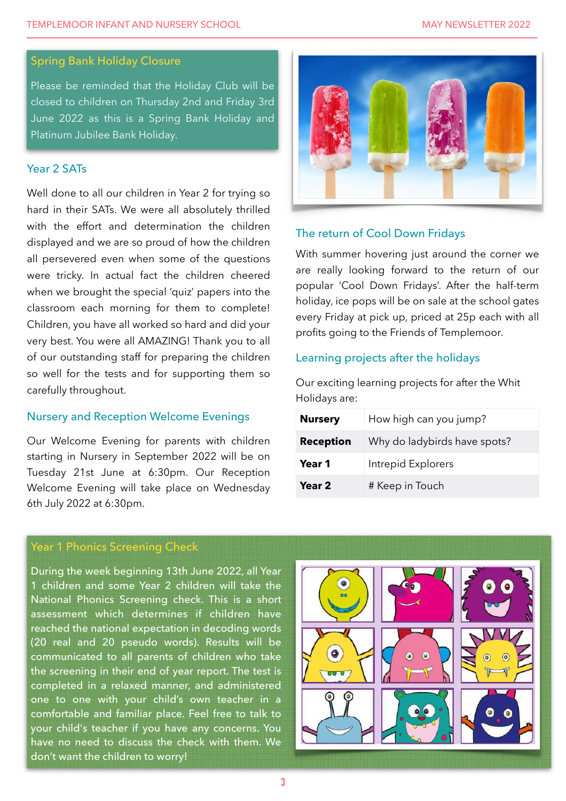#### Spring Bank Holiday Closure

Please be reminded that the Holiday Club will be closed to children on Thursday 2nd and Friday 3rd June 2022 as this is a Spring Bank Holiday and Platinum Jubilee Bank Holiday.

#### Year 2 SATs

Well done to all our children in Year 2 for trying so hard in their SATs. We were all absolutely thrilled with the effort and determination the children displayed and we are so proud of how the children all persevered even when some of the questions were tricky. In actual fact the children cheered when we brought the special 'quiz' papers into the classroom each morning for them to complete! Children, you have all worked so hard and did your very best. You were all AMAZING! Thank you to all of our outstanding staff for preparing the children so well for the tests and for supporting them so carefully throughout.

#### Nursery and Reception Welcome Evenings

Our Welcome Evening for parents with children starting in Nursery in September 2022 will be on Tuesday 21st June at 6:30pm. Our Reception Welcome Evening will take place on Wednesday 6th July 2022 at 6:30pm.



#### The return of Cool Down Fridays

With summer hovering just around the corner we are really looking forward to the return of our popular 'Cool Down Fridays'. After the half-term holiday, ice pops will be on sale at the school gates every Friday at pick up, priced at 25p each with all profits going to the Friends of Templemoor.

#### Learning projects after the holidays

Our exciting learning projects for after the Whit Holidays are:

| <b>Nursery</b>   | How high can you jump?       |
|------------------|------------------------------|
| <b>Reception</b> | Why do ladybirds have spots? |
| Year 1           | Intrepid Explorers           |
| Year 2           | # Keep in Touch              |

### Year 1 Phonics Screening Check

During the week beginning 13th June 2022, all Year 1 children and some Year 2 children will take the National Phonics Screening check. This is a short assessment which determines if children have reached the national expectation in decoding words (20 real and 20 pseudo words). Results will be communicated to all parents of children who take the screening in their end of year report. The test is completed in a relaxed manner, and administered one to one with your child's own teacher in a comfortable and familiar place. Feel free to talk to your child's teacher if you have any concerns. You have no need to discuss the check with them. We don't want the children to worry!

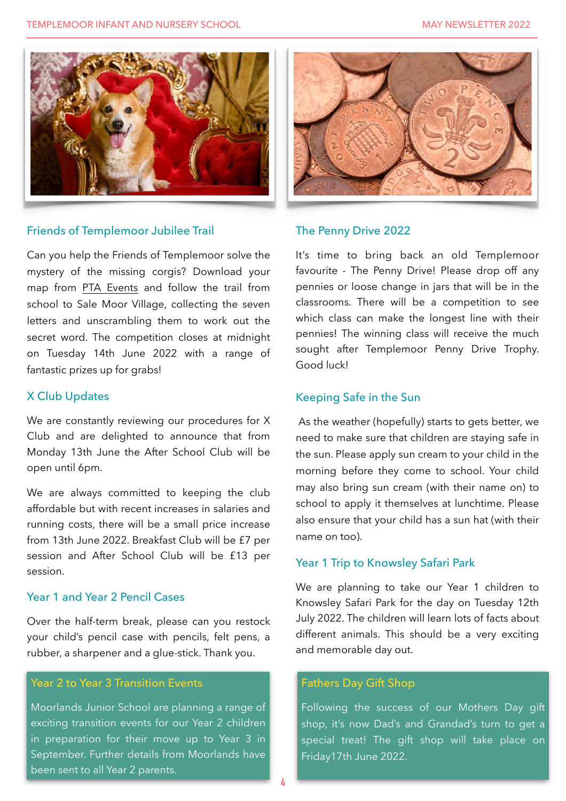

#### Friends of Templemoor Jubilee Trail

Can you help the Friends of Templemoor solve the mystery of the missing corgis? Download your map from [PTA Events](https://www.pta-events.co.uk/templemoorfot/index.cfm?event=event&eventId=48744#.Yo6oahPMJBw) and follow the trail from school to Sale Moor Village, collecting the seven letters and unscrambling them to work out the secret word. The competition closes at midnight on Tuesday 14th June 2022 with a range of fantastic prizes up for grabs!

#### X Club Updates

We are constantly reviewing our procedures for X Club and are delighted to announce that from Monday 13th June the After School Club will be open until 6pm.

We are always committed to keeping the club affordable but with recent increases in salaries and running costs, there will be a small price increase from 13th June 2022. Breakfast Club will be £7 per session and After School Club will be £13 per session.

#### Year 1 and Year 2 Pencil Cases

Over the half-term break, please can you restock your child's pencil case with pencils, felt pens, a rubber, a sharpener and a glue-stick. Thank you.

### Year 2 to Year 3 Transition Events

Moorlands Junior School are planning a range of exciting transition events for our Year 2 children in preparation for their move up to Year 3 in September. Further details from Moorlands have been sent to all Year 2 parents.



#### The Penny Drive 2022

It's time to bring back an old Templemoor favourite - The Penny Drive! Please drop off any pennies or loose change in jars that will be in the classrooms. There will be a competition to see which class can make the longest line with their pennies! The winning class will receive the much sought after Templemoor Penny Drive Trophy. Good luck!

#### Keeping Safe in the Sun

 As the weather (hopefully) starts to gets better, we need to make sure that children are staying safe in the sun. Please apply sun cream to your child in the morning before they come to school. Your child may also bring sun cream (with their name on) to school to apply it themselves at lunchtime. Please also ensure that your child has a sun hat (with their name on too).

#### Year 1 Trip to Knowsley Safari Park

We are planning to take our Year 1 children to Knowsley Safari Park for the day on Tuesday 12th July 2022. The children will learn lots of facts about different animals. This should be a very exciting and memorable day out.

#### Fathers Day Gift Shop

Following the success of our Mothers Day gift shop, it's now Dad's and Grandad's turn to get a special treat! The gift shop will take place on Friday17th June 2022.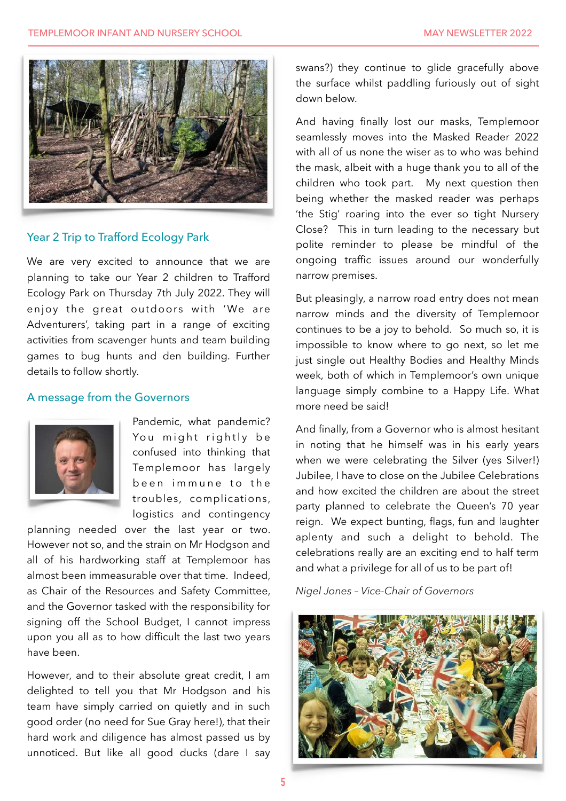

#### Year 2 Trip to Trafford Ecology Park

We are very excited to announce that we are planning to take our Year 2 children to Trafford Ecology Park on Thursday 7th July 2022. They will enjoy the great outdoors with 'We are Adventurers', taking part in a range of exciting activities from scavenger hunts and team building games to bug hunts and den building. Further details to follow shortly.

#### A message from the Governors



Pandemic, what pandemic? You might rightly be confused into thinking that Templemoor has largely been immune to the troubles, complications, logistics and contingency

planning needed over the last year or two. However not so, and the strain on Mr Hodgson and all of his hardworking staff at Templemoor has almost been immeasurable over that time. Indeed, as Chair of the Resources and Safety Committee, and the Governor tasked with the responsibility for signing off the School Budget, I cannot impress upon you all as to how difficult the last two years have been.

However, and to their absolute great credit, I am delighted to tell you that Mr Hodgson and his team have simply carried on quietly and in such good order (no need for Sue Gray here!), that their hard work and diligence has almost passed us by unnoticed. But like all good ducks (dare I say

swans?) they continue to glide gracefully above the surface whilst paddling furiously out of sight down below.

And having finally lost our masks, Templemoor seamlessly moves into the Masked Reader 2022 with all of us none the wiser as to who was behind the mask, albeit with a huge thank you to all of the children who took part. My next question then being whether the masked reader was perhaps 'the Stig' roaring into the ever so tight Nursery Close? This in turn leading to the necessary but polite reminder to please be mindful of the ongoing traffic issues around our wonderfully narrow premises.

But pleasingly, a narrow road entry does not mean narrow minds and the diversity of Templemoor continues to be a joy to behold. So much so, it is impossible to know where to go next, so let me just single out Healthy Bodies and Healthy Minds week, both of which in Templemoor's own unique language simply combine to a Happy Life. What more need be said!

And finally, from a Governor who is almost hesitant in noting that he himself was in his early years when we were celebrating the Silver (yes Silver!) Jubilee, I have to close on the Jubilee Celebrations and how excited the children are about the street party planned to celebrate the Queen's 70 year reign. We expect bunting, flags, fun and laughter aplenty and such a delight to behold. The celebrations really are an exciting end to half term and what a privilege for all of us to be part of!

*Nigel Jones – Vice-Chair of Governors*

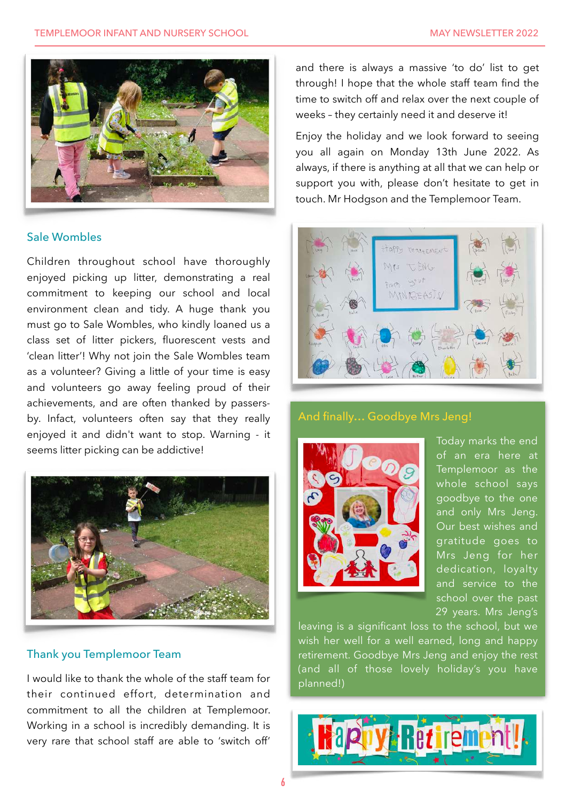

#### Sale Wombles

Children throughout school have thoroughly enjoyed picking up litter, demonstrating a real commitment to keeping our school and local environment clean and tidy. A huge thank you must go to Sale Wombles, who kindly loaned us a class set of litter pickers, fluorescent vests and 'clean litter'! Why not join the Sale Wombles team as a volunteer? Giving a little of your time is easy and volunteers go away feeling proud of their achievements, and are often thanked by passersby. Infact, volunteers often say that they really enjoyed it and didn't want to stop. Warning - it seems litter picking can be addictive!



#### Thank you Templemoor Team

I would like to thank the whole of the staff team for their continued effort, determination and commitment to all the children at Templemoor. Working in a school is incredibly demanding. It is very rare that school staff are able to 'switch off'

and there is always a massive 'to do' list to get through! I hope that the whole staff team find the time to switch off and relax over the next couple of weeks – they certainly need it and deserve it!

Enjoy the holiday and we look forward to seeing you all again on Monday 13th June 2022. As always, if there is anything at all that we can help or support you with, please don't hesitate to get in touch. Mr Hodgson and the Templemoor Team.



### And finally… Goodbye Mrs Jeng!



Today marks the end of an era here at Templemoor as the whole school says goodbye to the one and only Mrs Jeng. Our best wishes and gratitude goes to Mrs Jeng for her dedication, loyalty and service to the school over the past 29 years. Mrs Jeng's

leaving is a significant loss to the school, but we wish her well for a well earned, long and happy retirement. Goodbye Mrs Jeng and enjoy the rest (and all of those lovely holiday's you have planned!)

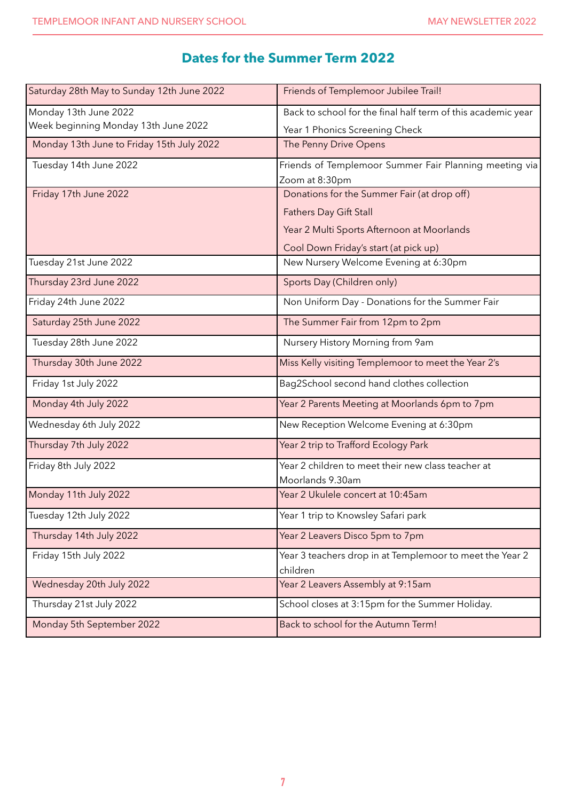# **Dates for the Summer Term 2022**

| Saturday 28th May to Sunday 12th June 2022 | Friends of Templemoor Jubilee Trail!                         |
|--------------------------------------------|--------------------------------------------------------------|
| Monday 13th June 2022                      | Back to school for the final half term of this academic year |
| Week beginning Monday 13th June 2022       | Year 1 Phonics Screening Check                               |
| Monday 13th June to Friday 15th July 2022  | The Penny Drive Opens                                        |
| Tuesday 14th June 2022                     | Friends of Templemoor Summer Fair Planning meeting via       |
|                                            | Zoom at 8:30pm                                               |
| Friday 17th June 2022                      | Donations for the Summer Fair (at drop off)                  |
|                                            | <b>Fathers Day Gift Stall</b>                                |
|                                            | Year 2 Multi Sports Afternoon at Moorlands                   |
|                                            | Cool Down Friday's start (at pick up)                        |
| Tuesday 21st June 2022                     | New Nursery Welcome Evening at 6:30pm                        |
| Thursday 23rd June 2022                    | Sports Day (Children only)                                   |
| Friday 24th June 2022                      | Non Uniform Day - Donations for the Summer Fair              |
| Saturday 25th June 2022                    | The Summer Fair from 12pm to 2pm                             |
| Tuesday 28th June 2022                     | Nursery History Morning from 9am                             |
| Thursday 30th June 2022                    | Miss Kelly visiting Templemoor to meet the Year 2's          |
| Friday 1st July 2022                       | Bag2School second hand clothes collection                    |
| Monday 4th July 2022                       | Year 2 Parents Meeting at Moorlands 6pm to 7pm               |
| Wednesday 6th July 2022                    | New Reception Welcome Evening at 6:30pm                      |
| Thursday 7th July 2022                     | Year 2 trip to Trafford Ecology Park                         |
| Friday 8th July 2022                       | Year 2 children to meet their new class teacher at           |
|                                            | Moorlands 9.30am                                             |
| Monday 11th July 2022                      | Year 2 Ukulele concert at 10:45am                            |
| Tuesday 12th July 2022                     | Year 1 trip to Knowsley Safari park                          |
| Thursday 14th July 2022                    | Year 2 Leavers Disco 5pm to 7pm                              |
| Friday 15th July 2022                      | Year 3 teachers drop in at Templemoor to meet the Year 2     |
|                                            | children                                                     |
| Wednesday 20th July 2022                   | Year 2 Leavers Assembly at 9:15am                            |
| Thursday 21st July 2022                    | School closes at 3:15pm for the Summer Holiday.              |
| Monday 5th September 2022                  | Back to school for the Autumn Term!                          |